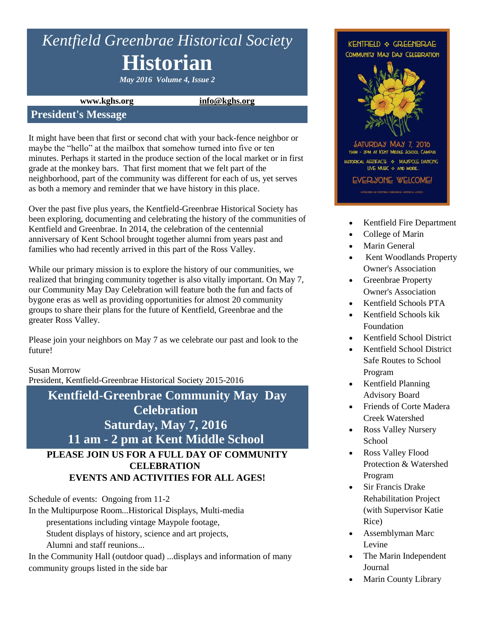# *Kentfield Greenbrae Historical Society* **Historian**

*May 2016 Volume 4, Issue 2*

**www.kghs.org [info@kghs.org](mailto:info@kghs.org)**

### **President's Message**

It might have been that first or second chat with your back-fence neighbor or maybe the "hello" at the mailbox that somehow turned into five or ten minutes. Perhaps it started in the produce section of the local market or in first grade at the monkey bars. That first moment that we felt part of the neighborhood, part of the community was different for each of us, yet serves as both a memory and reminder that we have history in this place.

Over the past five plus years, the Kentfield-Greenbrae Historical Society has been exploring, documenting and celebrating the history of the communities of Kentfield and Greenbrae. In 2014, the celebration of the centennial anniversary of Kent School brought together alumni from years past and families who had recently arrived in this part of the Ross Valley.

While our primary mission is to explore the history of our communities, we realized that bringing community together is also vitally important. On May 7, our Community May Day Celebration will feature both the fun and facts of bygone eras as well as providing opportunities for almost 20 community groups to share their plans for the future of Kentfield, Greenbrae and the greater Ross Valley.

Please join your neighbors on May 7 as we celebrate our past and look to the future!

Susan Morrow

President, Kentfield-Greenbrae Historical Society 2015-2016

## **Kentfield-Greenbrae Community May Day Celebration Saturday, May 7, 2016 11 am - 2 pm at Kent Middle School PLEASE JOIN US FOR A FULL DAY OF COMMUNITY CELEBRATION**

**EVENTS AND ACTIVITIES FOR ALL AGES!**

Schedule of events: Ongoing from 11-2

In the Multipurpose Room...Historical Displays, Multi-media

presentations including vintage Maypole footage,

Student displays of history, science and art projects,

Alumni and staff reunions...

In the Community Hall (outdoor quad) ...displays and information of many community groups listed in the side bar



- Kentfield Fire Department
- College of Marin
- Marin General
- Kent Woodlands Property Owner's Association
- Greenbrae Property Owner's Association
- Kentfield Schools PTA
- Kentfield Schools kik Foundation
- Kentfield School District
- Kentfield School District Safe Routes to School Program
- Kentfield Planning Advisory Board
- Friends of Corte Madera Creek Watershed
- Ross Valley Nursery School
- Ross Valley Flood Protection & Watershed Program
- Sir Francis Drake Rehabilitation Project (with Supervisor Katie Rice)
- Assemblyman Marc Levine
- The Marin Independent Journal
- Marin County Library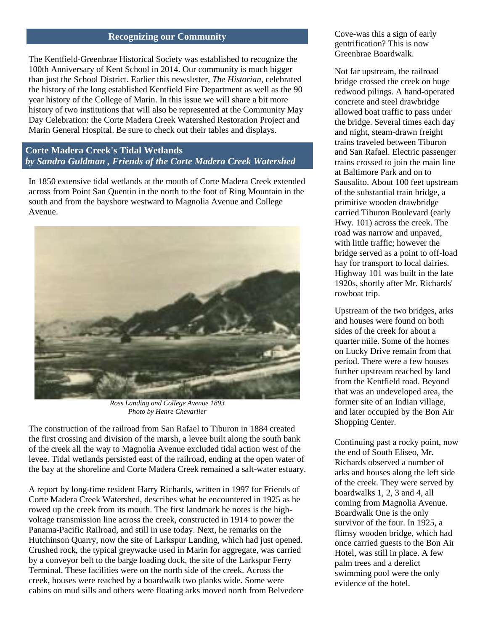#### **Recognizing our Community**

The Kentfield-Greenbrae Historical Society was established to recognize the 100th Anniversary of Kent School in 2014. Our community is much bigger than just the School District. Earlier this newsletter, *The Historian,* celebrated the history of the long established Kentfield Fire Department as well as the 90 year history of the College of Marin. In this issue we will share a bit more history of two institutions that will also be represented at the Community May Day Celebration: the Corte Madera Creek Watershed Restoration Project and Marin General Hospital. Be sure to check out their tables and displays.

#### **Corte Madera Creek's Tidal Wetlands** *by Sandra Guldman , Friends of the Corte Madera Creek Watershed*

In 1850 extensive tidal wetlands at the mouth of Corte Madera Creek extended across from Point San Quentin in the north to the foot of Ring Mountain in the south and from the bayshore westward to Magnolia Avenue and College Avenue.



*Ross Landing and College Avenue 1893 Photo by Henre Chevarlier*

The construction of the railroad from San Rafael to Tiburon in 1884 created the first crossing and division of the marsh, a levee built along the south bank of the creek all the way to Magnolia Avenue excluded tidal action west of the levee. Tidal wetlands persisted east of the railroad, ending at the open water of the bay at the shoreline and Corte Madera Creek remained a salt-water estuary.

A report by long-time resident Harry Richards, written in 1997 for Friends of Corte Madera Creek Watershed, describes what he encountered in 1925 as he rowed up the creek from its mouth. The first landmark he notes is the highvoltage transmission line across the creek, constructed in 1914 to power the Panama-Pacific Railroad, and still in use today. Next, he remarks on the Hutchinson Quarry, now the site of Larkspur Landing, which had just opened. Crushed rock, the typical greywacke used in Marin for aggregate, was carried by a conveyor belt to the barge loading dock, the site of the Larkspur Ferry Terminal. These facilities were on the north side of the creek. Across the creek, houses were reached by a boardwalk two planks wide. Some were cabins on mud sills and others were floating arks moved north from Belvedere Cove-was this a sign of early gentrification? This is now Greenbrae Boardwalk.

Not far upstream, the railroad bridge crossed the creek on huge redwood pilings. A hand-operated concrete and steel drawbridge allowed boat traffic to pass under the bridge. Several times each day and night, steam-drawn freight trains traveled between Tiburon and San Rafael. Electric passenger trains crossed to join the main line at Baltimore Park and on to Sausalito. About 100 feet upstream of the substantial train bridge, a primitive wooden drawbridge carried Tiburon Boulevard (early Hwy. 101) across the creek. The road was narrow and unpaved, with little traffic; however the bridge served as a point to off-load hay for transport to local dairies. Highway 101 was built in the late 1920s, shortly after Mr. Richards' rowboat trip.

Upstream of the two bridges, arks and houses were found on both sides of the creek for about a quarter mile. Some of the homes on Lucky Drive remain from that period. There were a few houses further upstream reached by land from the Kentfield road. Beyond that was an undeveloped area, the former site of an Indian village, and later occupied by the Bon Air Shopping Center.

Continuing past a rocky point, now the end of South Eliseo, Mr. Richards observed a number of arks and houses along the left side of the creek. They were served by boardwalks 1, 2, 3 and 4, all coming from Magnolia Avenue. Boardwalk One is the only survivor of the four. In 1925, a flimsy wooden bridge, which had once carried guests to the Bon Air Hotel, was still in place. A few palm trees and a derelict swimming pool were the only evidence of the hotel.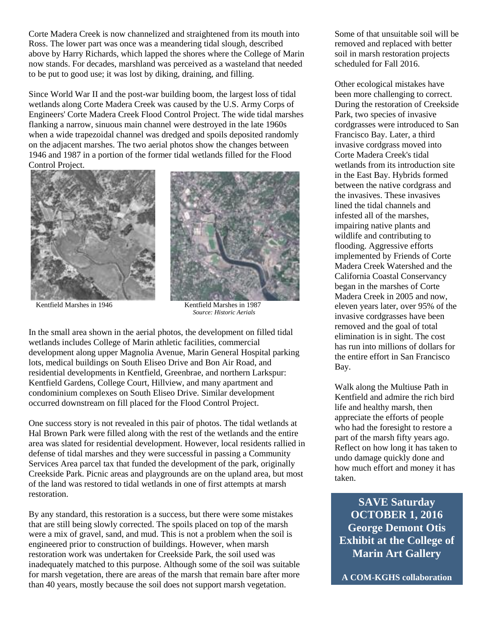Corte Madera Creek is now channelized and straightened from its mouth into Ross. The lower part was once was a meandering tidal slough, described above by Harry Richards, which lapped the shores where the College of Marin now stands. For decades, marshland was perceived as a wasteland that needed to be put to good use; it was lost by diking, draining, and filling.

Since World War II and the post-war building boom, the largest loss of tidal wetlands along Corte Madera Creek was caused by the U.S. Army Corps of Engineers' Corte Madera Creek Flood Control Project. The wide tidal marshes flanking a narrow, sinuous main channel were destroyed in the late 1960s when a wide trapezoidal channel was dredged and spoils deposited randomly on the adjacent marshes. The two aerial photos show the changes between 1946 and 1987 in a portion of the former tidal wetlands filled for the Flood Control Project.





Kentfield Marshes in 1946 Kentfield Marshes in 1987  *Source: Historic Aerials*

In the small area shown in the aerial photos, the development on filled tidal wetlands includes College of Marin athletic facilities, commercial development along upper Magnolia Avenue, Marin General Hospital parking lots, medical buildings on South Eliseo Drive and Bon Air Road, and residential developments in Kentfield, Greenbrae, and northern Larkspur: Kentfield Gardens, College Court, Hillview, and many apartment and condominium complexes on South Eliseo Drive. Similar development occurred downstream on fill placed for the Flood Control Project.

One success story is not revealed in this pair of photos. The tidal wetlands at Hal Brown Park were filled along with the rest of the wetlands and the entire area was slated for residential development. However, local residents rallied in defense of tidal marshes and they were successful in passing a Community Services Area parcel tax that funded the development of the park, originally Creekside Park. Picnic areas and playgrounds are on the upland area, but most of the land was restored to tidal wetlands in one of first attempts at marsh restoration.

By any standard, this restoration is a success, but there were some mistakes that are still being slowly corrected. The spoils placed on top of the marsh were a mix of gravel, sand, and mud. This is not a problem when the soil is engineered prior to construction of buildings. However, when marsh restoration work was undertaken for Creekside Park, the soil used was inadequately matched to this purpose. Although some of the soil was suitable for marsh vegetation, there are areas of the marsh that remain bare after more than 40 years, mostly because the soil does not support marsh vegetation.

Some of that unsuitable soil will be removed and replaced with better soil in marsh restoration projects scheduled for Fall 2016.

Other ecological mistakes have been more challenging to correct. During the restoration of Creekside Park, two species of invasive cordgrasses were introduced to San Francisco Bay. Later, a third invasive cordgrass moved into Corte Madera Creek's tidal wetlands from its introduction site in the East Bay. Hybrids formed between the native cordgrass and the invasives. These invasives lined the tidal channels and infested all of the marshes, impairing native plants and wildlife and contributing to flooding. Aggressive efforts implemented by Friends of Corte Madera Creek Watershed and the California Coastal Conservancy began in the marshes of Corte Madera Creek in 2005 and now, eleven years later, over 95% of the invasive cordgrasses have been removed and the goal of total elimination is in sight. The cost has run into millions of dollars for the entire effort in San Francisco Bay.

Walk along the Multiuse Path in Kentfield and admire the rich bird life and healthy marsh, then appreciate the efforts of people who had the foresight to restore a part of the marsh fifty years ago. Reflect on how long it has taken to undo damage quickly done and how much effort and money it has taken.

**SAVE Saturday OCTOBER 1, 2016 George Demont Otis Exhibit at the College of Marin Art Gallery** 

**A COM-KGHS collaboration**